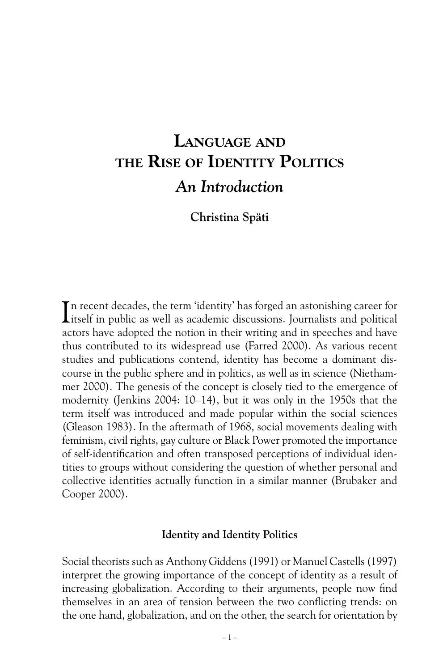# LANGUAGE AND THE RISE OF IDENTITY POLITICS *An Introduction*

**Christina Späti**

In recent decades, the term 'identity' has forged an astonishing career for itself in public as well as academic discussions. Journalists and political itself in public as well as academic discussions. Journalists and political actors have adopted the notion in their writing and in speeches and have thus contributed to its widespread use (Farred 2000). As various recent studies and publications contend, identity has become a dominant discourse in the public sphere and in politics, as well as in science (Niethammer 2000). The genesis of the concept is closely tied to the emergence of modernity (Jenkins 2004: 10–14), but it was only in the 1950s that the term itself was introduced and made popular within the social sciences (Gleason 1983). In the aftermath of 1968, social movements dealing with feminism, civil rights, gay culture or Black Power promoted the importance of self-identification and often transposed perceptions of individual identities to groups without considering the question of whether personal and collective identities actually function in a similar manner (Brubaker and Cooper 2000).

## **Identity and Identity Politics**

Social theorists such as Anthony Giddens (1991) or Manuel Castells (1997) interpret the growing importance of the concept of identity as a result of increasing globalization. According to their arguments, people now find themselves in an area of tension between the two conflicting trends: on the one hand, globalization, and on the other, the search for orientation by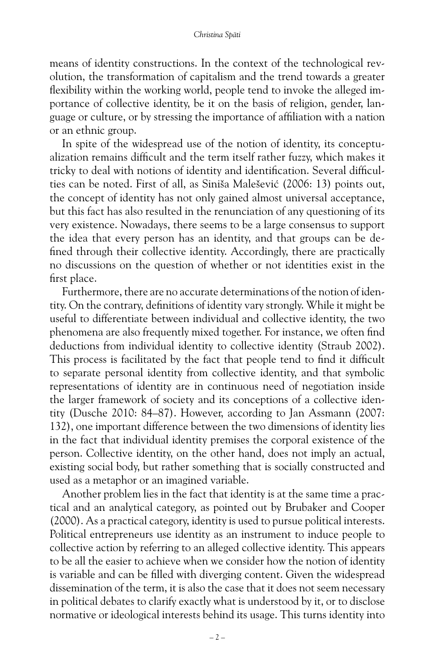means of identity constructions. In the context of the technological revolution, the transformation of capitalism and the trend towards a greater flexibility within the working world, people tend to invoke the alleged importance of collective identity, be it on the basis of religion, gender, language or culture, or by stressing the importance of affiliation with a nation or an ethnic group.

In spite of the widespread use of the notion of identity, its conceptualization remains difficult and the term itself rather fuzzy, which makes it tricky to deal with notions of identity and identification. Several difficulties can be noted. First of all, as Siniša Malešević (2006: 13) points out, the concept of identity has not only gained almost universal acceptance, but this fact has also resulted in the renunciation of any questioning of its very existence. Nowadays, there seems to be a large consensus to support the idea that every person has an identity, and that groups can be defined through their collective identity. Accordingly, there are practically no discussions on the question of whether or not identities exist in the first place.

Furthermore, there are no accurate determinations of the notion of identity. On the contrary, definitions of identity vary strongly. While it might be useful to differentiate between individual and collective identity, the two phenomena are also frequently mixed together. For instance, we often find deductions from individual identity to collective identity (Straub 2002). This process is facilitated by the fact that people tend to find it difficult to separate personal identity from collective identity, and that symbolic representations of identity are in continuous need of negotiation inside the larger framework of society and its conceptions of a collective identity (Dusche 2010: 84–87). However, according to Jan Assmann (2007: 132), one important difference between the two dimensions of identity lies in the fact that individual identity premises the corporal existence of the person. Collective identity, on the other hand, does not imply an actual, existing social body, but rather something that is socially constructed and used as a metaphor or an imagined variable.

Another problem lies in the fact that identity is at the same time a practical and an analytical category, as pointed out by Brubaker and Cooper (2000). As a practical category, identity is used to pursue political interests. Political entrepreneurs use identity as an instrument to induce people to collective action by referring to an alleged collective identity. This appears to be all the easier to achieve when we consider how the notion of identity is variable and can be filled with diverging content. Given the widespread dissemination of the term, it is also the case that it does not seem necessary in political debates to clarify exactly what is understood by it, or to disclose normative or ideological interests behind its usage. This turns identity into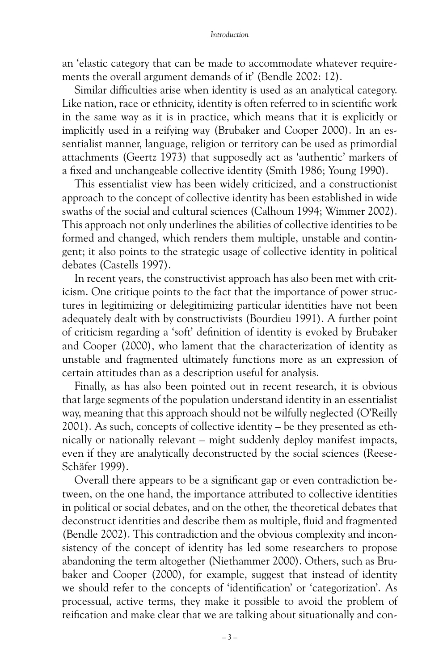#### *Introduction*

an 'elastic category that can be made to accommodate whatever requirements the overall argument demands of it' (Bendle 2002: 12).

Similar difficulties arise when identity is used as an analytical category. Like nation, race or ethnicity, identity is often referred to in scientific work in the same way as it is in practice, which means that it is explicitly or implicitly used in a reifying way (Brubaker and Cooper 2000). In an essentialist manner, language, religion or territory can be used as primordial attachments (Geertz 1973) that supposedly act as 'authentic' markers of a fixed and unchangeable collective identity (Smith 1986; Young 1990).

This essentialist view has been widely criticized, and a constructionist approach to the concept of collective identity has been established in wide swaths of the social and cultural sciences (Calhoun 1994; Wimmer 2002). This approach not only underlines the abilities of collective identities to be formed and changed, which renders them multiple, unstable and contingent; it also points to the strategic usage of collective identity in political debates (Castells 1997).

In recent years, the constructivist approach has also been met with criticism. One critique points to the fact that the importance of power structures in legitimizing or delegitimizing particular identities have not been adequately dealt with by constructivists (Bourdieu 1991). A further point of criticism regarding a 'soft' definition of identity is evoked by Brubaker and Cooper (2000), who lament that the characterization of identity as unstable and fragmented ultimately functions more as an expression of certain attitudes than as a description useful for analysis.

Finally, as has also been pointed out in recent research, it is obvious that large segments of the population understand identity in an essentialist way, meaning that this approach should not be wilfully neglected (O'Reilly 2001). As such, concepts of collective identity – be they presented as ethnically or nationally relevant – might suddenly deploy manifest impacts, even if they are analytically deconstructed by the social sciences (Reese-Schäfer 1999).

Overall there appears to be a significant gap or even contradiction between, on the one hand, the importance attributed to collective identities in political or social debates, and on the other, the theoretical debates that deconstruct identities and describe them as multiple, fluid and fragmented (Bendle 2002). This contradiction and the obvious complexity and inconsistency of the concept of identity has led some researchers to propose abandoning the term altogether (Niethammer 2000). Others, such as Bru baker and Cooper (2000), for example, suggest that instead of identity we should refer to the concepts of 'identification' or 'categorization'. As processual, active terms, they make it possible to avoid the problem of reification and make clear that we are talking about situationally and con-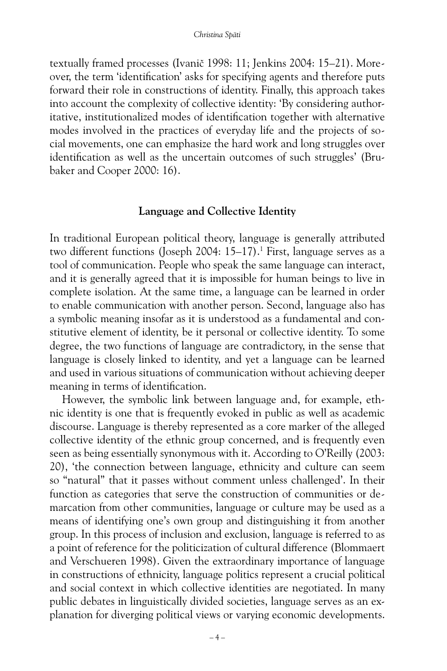textually framed processes (Ivanič 1998: 11; Jenkins 2004: 15–21). Moreover, the term 'identification' asks for specifying agents and therefore puts forward their role in constructions of identity. Finally, this approach takes into account the complexity of collective identity: 'By considering authoritative, institutionalized modes of identification together with alternative modes involved in the practices of everyday life and the projects of social movements, one can emphasize the hard work and long struggles over identification as well as the uncertain outcomes of such struggles' (Brubaker and Cooper 2000: 16).

## **Language and Collective Identity**

In traditional European political theory, language is generally attributed two different functions (Joseph 2004: 15–17).<sup>1</sup> First, language serves as a tool of communication. People who speak the same language can interact, and it is generally agreed that it is impossible for human beings to live in complete isolation. At the same time, a language can be learned in order to enable communication with another person. Second, language also has a symbolic meaning insofar as it is understood as a fundamental and constitutive element of identity, be it personal or collective identity. To some degree, the two functions of language are contradictory, in the sense that language is closely linked to identity, and yet a language can be learned and used in various situations of communication without achieving deeper meaning in terms of identification.

However, the symbolic link between language and, for example, ethnic identity is one that is frequently evoked in public as well as academic discourse. Language is thereby represented as a core marker of the alleged collective identity of the ethnic group concerned, and is frequently even seen as being essentially synonymous with it. According to O'Reilly (2003: 20), 'the connection between language, ethnicity and culture can seem so "natural" that it passes without comment unless challenged'. In their function as categories that serve the construction of communities or demarcation from other communities, language or culture may be used as a means of identifying one's own group and distinguishing it from another group. In this process of inclusion and exclusion, language is referred to as a point of reference for the politicization of cultural difference (Blommaert and Verschueren 1998). Given the extraordinary importance of language in constructions of ethnicity, language politics represent a crucial political and social context in which collective identities are negotiated. In many public debates in linguistically divided societies, language serves as an explanation for diverging political views or varying economic developments.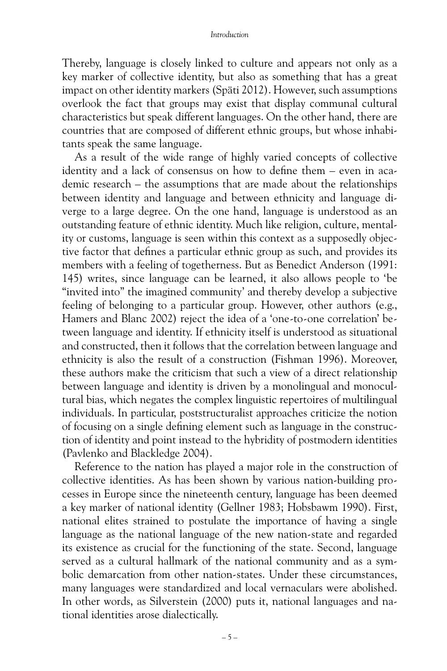#### *Introduction*

Thereby, language is closely linked to culture and appears not only as a key marker of collective identity, but also as something that has a great impact on other identity markers (Späti 2012). However, such assumptions overlook the fact that groups may exist that display communal cultural characteristics but speak different languages. On the other hand, there are countries that are composed of different ethnic groups, but whose inhabitants speak the same language.

As a result of the wide range of highly varied concepts of collective identity and a lack of consensus on how to define them – even in academic research – the assumptions that are made about the relationships between identity and language and between ethnicity and language diverge to a large degree. On the one hand, language is understood as an outstanding feature of ethnic identity. Much like religion, culture, mentality or customs, language is seen within this context as a supposedly objective factor that defines a particular ethnic group as such, and provides its members with a feeling of togetherness. But as Benedict Anderson (1991: 145) writes, since language can be learned, it also allows people to 'be "invited into" the imagined community' and thereby develop a subjective feeling of belonging to a particular group. However, other authors (e.g., Hamers and Blanc 2002) reject the idea of a 'one-to-one correlation' between language and identity. If ethnicity itself is understood as situational and constructed, then it follows that the correlation between language and ethnicity is also the result of a construction (Fishman 1996). Moreover, these authors make the criticism that such a view of a direct relationship between language and identity is driven by a monolingual and monocultural bias, which negates the complex linguistic repertoires of multilingual individuals. In particular, poststructuralist approaches criticize the notion of focusing on a single defining element such as language in the construction of identity and point instead to the hybridity of postmodern identities (Pavlenko and Blackledge 2004).

Reference to the nation has played a major role in the construction of collective identities. As has been shown by various nation-building processes in Europe since the nineteenth century, language has been deemed a key marker of national identity (Gellner 1983; Hobsbawm 1990). First, national elites strained to postulate the importance of having a single language as the national language of the new nation-state and regarded its existence as crucial for the functioning of the state. Second, language served as a cultural hallmark of the national community and as a symbolic demarcation from other nation-states. Under these circumstances, many languages were standardized and local vernaculars were abolished. In other words, as Silverstein (2000) puts it, national languages and national identities arose dialectically.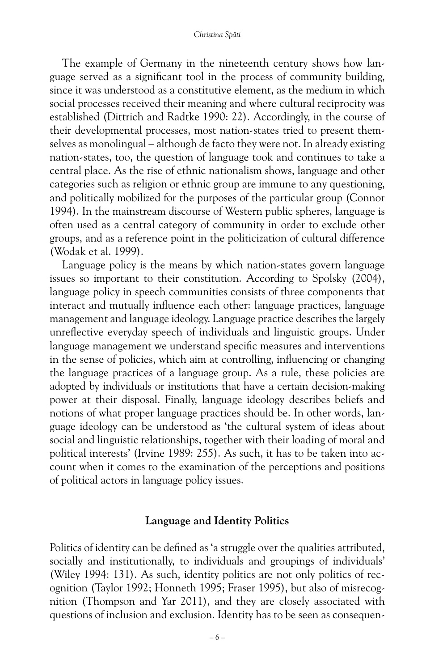The example of Germany in the nineteenth century shows how language served as a significant tool in the process of community building, since it was understood as a constitutive element, as the medium in which social processes received their meaning and where cultural reciprocity was established (Dittrich and Radtke 1990: 22). Accordingly, in the course of their developmental processes, most nation-states tried to present themselves as monolingual – although de facto they were not. In already existing nation-states, too, the question of language took and continues to take a central place. As the rise of ethnic nationalism shows, language and other categories such as religion or ethnic group are immune to any questioning, and politically mobilized for the purposes of the particular group (Connor 1994). In the mainstream discourse of Western public spheres, language is often used as a central category of community in order to exclude other groups, and as a reference point in the politicization of cultural difference (Wodak et al. 1999).

Language policy is the means by which nation-states govern language issues so important to their constitution. According to Spolsky (2004), language policy in speech communities consists of three components that interact and mutually influence each other: language practices, language management and language ideology. Language practice describes the largely unreflective everyday speech of individuals and linguistic groups. Under language management we understand specific measures and interventions in the sense of policies, which aim at controlling, influencing or changing the language practices of a language group. As a rule, these policies are adopted by individuals or institutions that have a certain decision-making power at their disposal. Finally, language ideology describes beliefs and notions of what proper language practices should be. In other words, language ideology can be understood as 'the cultural system of ideas about social and linguistic relationships, together with their loading of moral and political interests' (Irvine 1989: 255). As such, it has to be taken into account when it comes to the examination of the perceptions and positions of political actors in language policy issues.

## **Language and Identity Politics**

Politics of identity can be defined as 'a struggle over the qualities attributed, socially and institutionally, to individuals and groupings of individuals' (Wiley 1994: 131). As such, identity politics are not only politics of recognition (Taylor 1992; Honneth 1995; Fraser 1995), but also of misrecognition (Thompson and Yar 2011), and they are closely associated with questions of inclusion and exclusion. Identity has to be seen as consequen-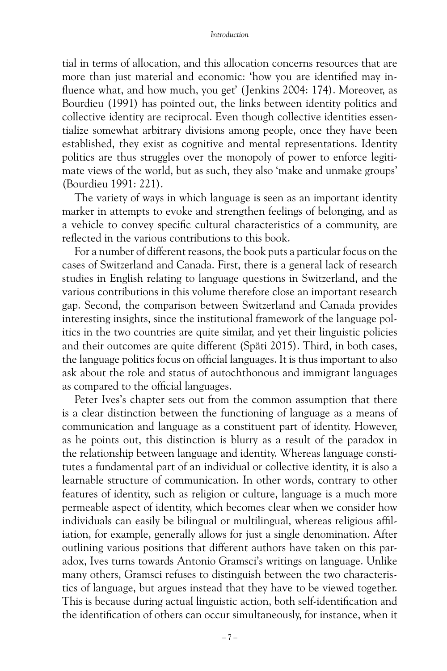tial in terms of allocation, and this allocation concerns resources that are more than just material and economic: 'how you are identified may influence what, and how much, you get' (Jenkins 2004: 174). Moreover, as Bourdieu (1991) has pointed out, the links between identity politics and collective identity are reciprocal. Even though collective identities essentialize somewhat arbitrary divisions among people, once they have been established, they exist as cognitive and mental representations. Identity politics are thus struggles over the monopoly of power to enforce legitimate views of the world, but as such, they also 'make and unmake groups' (Bourdieu 1991: 221).

The variety of ways in which language is seen as an important identity marker in attempts to evoke and strengthen feelings of belonging, and as a vehicle to convey specific cultural characteristics of a community, are reflected in the various contributions to this book.

For a number of different reasons, the book puts a particular focus on the cases of Switzerland and Canada. First, there is a general lack of research studies in English relating to language questions in Switzerland, and the various contributions in this volume therefore close an important research gap. Second, the comparison between Switzerland and Canada provides interesting insights, since the institutional framework of the language politics in the two countries are quite similar, and yet their linguistic policies and their outcomes are quite different (Späti 2015). Third, in both cases, the language politics focus on official languages. It is thus important to also ask about the role and status of autochthonous and immigrant languages as compared to the official languages.

Peter Ives's chapter sets out from the common assumption that there is a clear distinction between the functioning of language as a means of communication and language as a constituent part of identity. However, as he points out, this distinction is blurry as a result of the paradox in the relationship between language and identity. Whereas language constitutes a fundamental part of an individual or collective identity, it is also a learnable structure of communication. In other words, contrary to other features of identity, such as religion or culture, language is a much more permeable aspect of identity, which becomes clear when we consider how individuals can easily be bilingual or multilingual, whereas religious affiliation, for example, generally allows for just a single denomination. After outlining various positions that different authors have taken on this paradox, Ives turns towards Antonio Gramsci's writings on language. Unlike many others, Gramsci refuses to distinguish between the two characteristics of language, but argues instead that they have to be viewed together. This is because during actual linguistic action, both self-identification and the identification of others can occur simultaneously, for instance, when it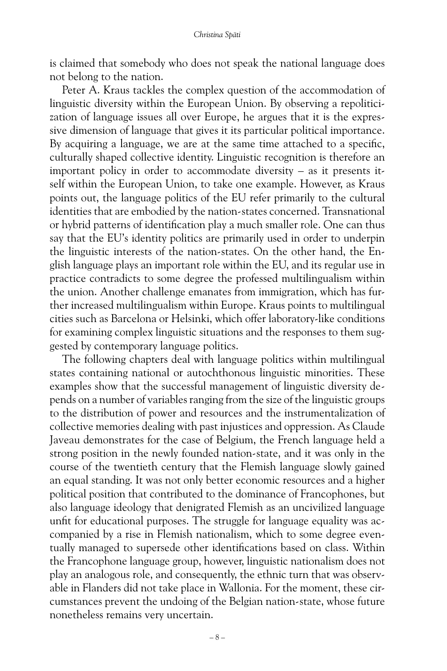is claimed that somebody who does not speak the national language does not belong to the nation.

Peter A. Kraus tackles the complex question of the accommodation of linguistic diversity within the European Union. By observing a repoliticization of language issues all over Europe, he argues that it is the expressive dimension of language that gives it its particular political importance. By acquiring a language, we are at the same time attached to a specific, culturally shaped collective identity. Linguistic recognition is therefore an important policy in order to accommodate diversity – as it presents itself within the European Union, to take one example. However, as Kraus points out, the language politics of the EU refer primarily to the cultural identities that are embodied by the nation-states concerned. Transnational or hybrid patterns of identification play a much smaller role. One can thus say that the EU's identity politics are primarily used in order to underpin the linguistic interests of the nation-states. On the other hand, the English language plays an important role within the EU, and its regular use in practice contradicts to some degree the professed multilingualism within the union. Another challenge emanates from immigration, which has further increased multilingualism within Europe. Kraus points to multilingual cities such as Barcelona or Helsinki, which offer laboratory-like conditions for examining complex linguistic situations and the responses to them suggested by contemporary language politics.

The following chapters deal with language politics within multilingual states containing national or autochthonous linguistic minorities. These examples show that the successful management of linguistic diversity depends on a number of variables ranging from the size of the linguistic groups to the distribution of power and resources and the instrumentalization of collective memories dealing with past injustices and oppression. As Claude Javeau demonstrates for the case of Belgium, the French language held a strong position in the newly founded nation-state, and it was only in the course of the twentieth century that the Flemish language slowly gained an equal standing. It was not only better economic resources and a higher political position that contributed to the dominance of Francophones, but also language ideology that denigrated Flemish as an uncivilized language unfit for educational purposes. The struggle for language equality was accompanied by a rise in Flemish nationalism, which to some degree eventually managed to supersede other identifications based on class. Within the Francophone language group, however, linguistic nationalism does not play an analogous role, and consequently, the ethnic turn that was observable in Flanders did not take place in Wallonia. For the moment, these circumstances prevent the undoing of the Belgian nation-state, whose future nonetheless remains very uncertain.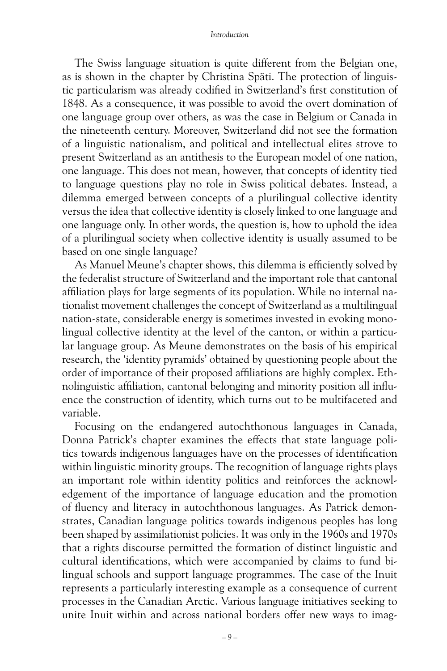The Swiss language situation is quite different from the Belgian one, as is shown in the chapter by Christina Späti. The protection of linguistic particularism was already codified in Switzerland's first constitution of 1848. As a consequence, it was possible to avoid the overt domination of one language group over others, as was the case in Belgium or Canada in the nineteenth century. Moreover, Switzerland did not see the formation of a linguistic nationalism, and political and intellectual elites strove to present Switzerland as an antithesis to the European model of one nation, one language. This does not mean, however, that concepts of identity tied to language questions play no role in Swiss political debates. Instead, a dilemma emerged between concepts of a plurilingual collective identity versus the idea that collective identity is closely linked to one language and one language only. In other words, the question is, how to uphold the idea of a plurilingual society when collective identity is usually assumed to be based on one single language?

As Manuel Meune's chapter shows, this dilemma is efficiently solved by the federalist structure of Switzerland and the important role that cantonal affiliation plays for large segments of its population. While no internal nationalist movement challenges the concept of Switzerland as a multilingual nation-state, considerable energy is sometimes invested in evoking monolingual collective identity at the level of the canton, or within a particular language group. As Meune demonstrates on the basis of his empirical research, the 'identity pyramids' obtained by questioning people about the order of importance of their proposed affiliations are highly complex. Ethnolinguistic affiliation, cantonal belonging and minority position all influence the construction of identity, which turns out to be multifaceted and variable.

Focusing on the endangered autochthonous languages in Canada, Donna Patrick's chapter examines the effects that state language politics towards indigenous languages have on the processes of identification within linguistic minority groups. The recognition of language rights plays an important role within identity politics and reinforces the acknowledgement of the importance of language education and the promotion of fluency and literacy in autochthonous languages. As Patrick demonstrates, Canadian language politics towards indigenous peoples has long been shaped by assimilationist policies. It was only in the 1960s and 1970s that a rights discourse permitted the formation of distinct linguistic and cultural identifications, which were accompanied by claims to fund bilingual schools and support language programmes. The case of the Inuit represents a particularly interesting example as a consequence of current processes in the Canadian Arctic. Various language initiatives seeking to unite Inuit within and across national borders offer new ways to imag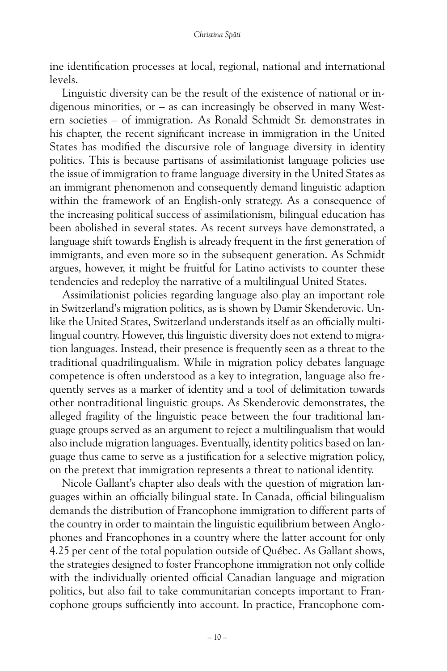ine identification processes at local, regional, national and international levels.

Linguistic diversity can be the result of the existence of national or indigenous minorities, or – as can increasingly be observed in many Western societies – of immigration. As Ronald Schmidt Sr. demonstrates in his chapter, the recent significant increase in immigration in the United States has modified the discursive role of language diversity in identity politics. This is because partisans of assimilationist language policies use the issue of immigration to frame language diversity in the United States as an immigrant phenomenon and consequently demand linguistic adaption within the framework of an English-only strategy. As a consequence of the increasing political success of assimilationism, bilingual education has been abolished in several states. As recent surveys have demonstrated, a language shift towards English is already frequent in the first generation of immigrants, and even more so in the subsequent generation. As Schmidt argues, however, it might be fruitful for Latino activists to counter these tendencies and redeploy the narrative of a multilingual United States.

Assimilationist policies regarding language also play an important role in Switzerland's migration politics, as is shown by Damir Skenderovic. Unlike the United States, Switzerland understands itself as an officially multilingual country. However, this linguistic diversity does not extend to migration languages. Instead, their presence is frequently seen as a threat to the traditional quadrilingualism. While in migration policy debates language competence is often understood as a key to integration, language also frequently serves as a marker of identity and a tool of delimitation towards other nontraditional linguistic groups. As Skenderovic demonstrates, the alleged fragility of the linguistic peace between the four traditional language groups served as an argument to reject a multilingualism that would also include migration languages. Eventually, identity politics based on language thus came to serve as a justification for a selective migration policy, on the pretext that immigration represents a threat to national identity.

Nicole Gallant's chapter also deals with the question of migration languages within an officially bilingual state. In Canada, official bilingualism demands the distribution of Francophone immigration to different parts of the country in order to maintain the linguistic equilibrium between Anglophones and Francophones in a country where the latter account for only 4.25 per cent of the total population outside of Québec. As Gallant shows, the strategies designed to foster Francophone immigration not only collide with the individually oriented official Canadian language and migration politics, but also fail to take communitarian concepts important to Francophone groups sufficiently into account. In practice, Francophone com-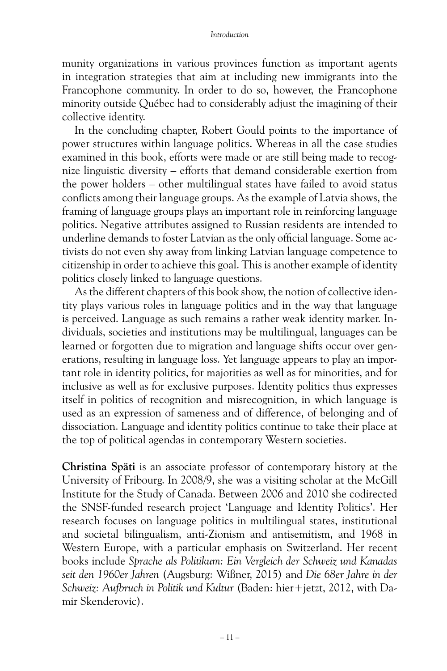munity organizations in various provinces function as important agents in integration strategies that aim at including new immigrants into the Francophone community. In order to do so, however, the Francophone minority outside Québec had to considerably adjust the imagining of their collective identity.

In the concluding chapter, Robert Gould points to the importance of power structures within language politics. Whereas in all the case studies examined in this book, efforts were made or are still being made to recognize linguistic diversity – efforts that demand considerable exertion from the power holders – other multilingual states have failed to avoid status conflicts among their language groups. As the example of Latvia shows, the framing of language groups plays an important role in reinforcing language politics. Negative attributes assigned to Russian residents are intended to underline demands to foster Latvian as the only official language. Some activists do not even shy away from linking Latvian language competence to citizenship in order to achieve this goal. This is another example of identity politics closely linked to language questions.

As the different chapters of this book show, the notion of collective identity plays various roles in language politics and in the way that language is perceived. Language as such remains a rather weak identity marker. Individuals, societies and institutions may be multilingual, languages can be learned or forgotten due to migration and language shifts occur over generations, resulting in language loss. Yet language appears to play an important role in identity politics, for majorities as well as for minorities, and for inclusive as well as for exclusive purposes. Identity politics thus expresses itself in politics of recognition and misrecognition, in which language is used as an expression of sameness and of difference, of belonging and of dissociation. Language and identity politics continue to take their place at the top of political agendas in contemporary Western societies.

**Christina Späti** is an associate professor of contemporary history at the University of Fribourg. In 2008/9, she was a visiting scholar at the McGill Institute for the Study of Canada. Between 2006 and 2010 she codirected the SNSF-funded research project 'Language and Identity Politics'. Her research focuses on language politics in multilingual states, institutional and societal bilingualism, anti-Zionism and antisemitism, and 1968 in Western Europe, with a particular emphasis on Switzerland. Her recent books include *Sprache als Politikum: Ein Vergleich der Schweiz und Kanadas seit den 1960er Jahren* (Augsburg: Wißner, 2015) and *Die 68er Jahre in der Schweiz: Aufbruch in Politik und Kultur* (Baden: hier+jetzt, 2012, with Damir Skenderovic).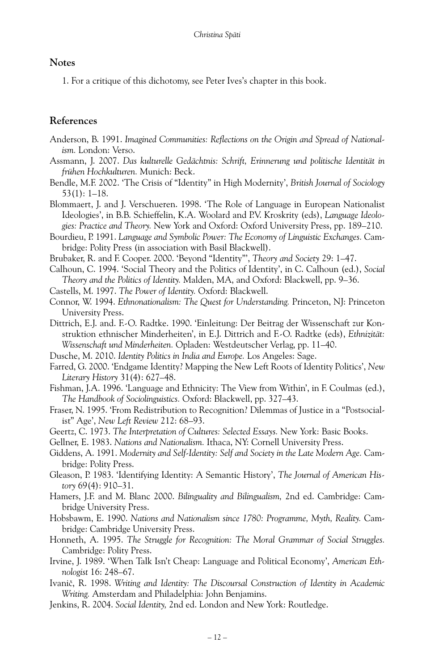### **Notes**

1. For a critique of this dichotomy, see Peter Ives's chapter in this book.

## **References**

- Anderson, B. 1991. Imagined Communities: Reflections on the Origin and Spread of National*ism.* London: Verso.
- Assmann, J. 2007. *Das kulturelle Gedächtnis: Schrift, Erinnerung und politische Identität in frühen Hochkulturen.* Munich: Beck.
- Bendle, M.F. 2002. 'The Crisis of "Identity" in High Modernity', *British Journal of Sociology* 53(1): 1–18.
- Blommaert, J. and J. Verschueren. 1998. 'The Role of Language in European Nationalist Ideologies', in B.B. Schieffelin, K.A. Woolard and P.V. Kroskrity (eds), *Language Ideologies: Practice and Theory.* New York and Oxford: Oxford University Press, pp. 189–210.
- Bourdieu, P. 1991. *Language and Symbolic Power: The Economy of Linguistic Exchanges.* Cambridge: Polity Press (in association with Basil Blackwell).
- Brubaker, R. and F. Cooper. 2000. 'Beyond "Identity"', *Theory and Society* 29: 1–47.
- Calhoun, C. 1994. 'Social Theory and the Politics of Identity', in C. Calhoun (ed.), *Social Theory and the Politics of Identity.* Malden, MA, and Oxford: Blackwell, pp. 9–36.
- Castells, M. 1997. *The Power of Identity.* Oxford: Blackwell.
- Connor, W. 1994. *Ethnonationalism: The Quest for Understanding.* Princeton, NJ: Princeton University Press.
- Dittrich, E.J. and. F.-O. Radtke. 1990. 'Einleitung: Der Beitrag der Wissenschaft zur Konstruktion ethnischer Minderheiten', in E.J. Dittrich and F.-O. Radtke (eds), *Ethnizität: Wissenschaft und Minderheiten.* Opladen: Westdeutscher Verlag, pp. 11–40.
- Dusche, M. 2010. *Identity Politics in India and Europe.* Los Angeles: Sage.
- Farred, G. 2000. 'Endgame Identity? Mapping the New Left Roots of Identity Politics', *New Literary History* 31(4): 627–48.
- Fishman, J.A. 1996. 'Language and Ethnicity: The View from Within', in F. Coulmas (ed.), *The Handbook of Sociolinguistics.* Oxford: Blackwell, pp. 327–43.
- Fraser, N. 1995. 'From Redistribution to Recognition? Dilemmas of Justice in a "Postsocialist" Age', *New Left Review* 212: 68–93.
- Geertz, C. 1973. *The Interpretation of Cultures: Selected Essays.* New York: Basic Books.
- Gellner, E. 1983. *Nations and Nationalism.* Ithaca, NY: Cornell University Press.
- Giddens, A. 1991. *Modernity and Self-Identity: Self and Society in the Late Modern Age.* Cambridge: Polity Press.
- Gleason, P. 1983. 'Identifying Identity: A Semantic History', *The Journal of American History* 69(4): 910–31.
- Hamers, J.F. and M. Blanc 2000. *Bilinguality and Bilingualism,* 2nd ed. Cambridge: Cambridge University Press.
- Hobsbawm, E. 1990. *Nations and Nationalism since 1780: Programme, Myth, Reality.* Cambridge: Cambridge University Press.
- Honneth, A. 1995. *The Struggle for Recognition: The Moral Grammar of Social Struggles.* Cambridge: Polity Press.
- Irvine, J. 1989. 'When Talk Isn't Cheap: Language and Political Economy', *American Ethnologist* 16: 248–67.
- Ivanič, R. 1998. *Writing and Identity: The Discoursal Construction of Identity in Academic Writing.* Amsterdam and Philadelphia: John Benjamins.
- Jenkins, R. 2004. *Social Identity,* 2nd ed. London and New York: Routledge.